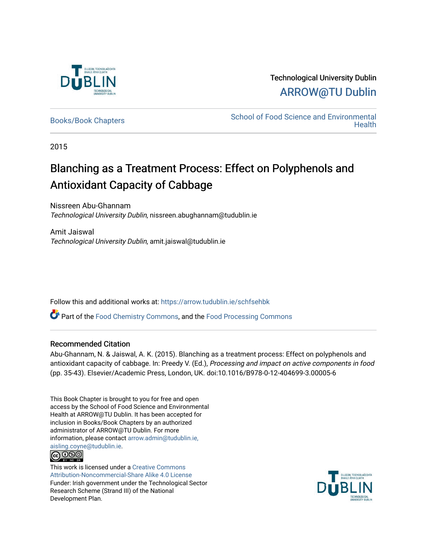

## Technological University Dublin [ARROW@TU Dublin](https://arrow.tudublin.ie/)

[Books/Book Chapters](https://arrow.tudublin.ie/schfsehbk) **School of Food Science and Environmental Health** 

2015

## Blanching as a Treatment Process: Effect on Polyphenols and Antioxidant Capacity of Cabbage

Nissreen Abu-Ghannam Technological University Dublin, nissreen.abughannam@tudublin.ie

Amit Jaiswal Technological University Dublin, amit.jaiswal@tudublin.ie

Follow this and additional works at: [https://arrow.tudublin.ie/schfsehbk](https://arrow.tudublin.ie/schfsehbk?utm_source=arrow.tudublin.ie%2Fschfsehbk%2F2&utm_medium=PDF&utm_campaign=PDFCoverPages) 

Part of the [Food Chemistry Commons,](http://network.bepress.com/hgg/discipline/87?utm_source=arrow.tudublin.ie%2Fschfsehbk%2F2&utm_medium=PDF&utm_campaign=PDFCoverPages) and the [Food Processing Commons](http://network.bepress.com/hgg/discipline/85?utm_source=arrow.tudublin.ie%2Fschfsehbk%2F2&utm_medium=PDF&utm_campaign=PDFCoverPages)

#### Recommended Citation

Abu-Ghannam, N. & Jaiswal, A. K. (2015). Blanching as a treatment process: Effect on polyphenols and antioxidant capacity of cabbage. In: Preedy V. (Ed.), Processing and impact on active components in food (pp. 35-43). Elsevier/Academic Press, London, UK. doi:10.1016/B978-0-12-404699-3.00005-6

This Book Chapter is brought to you for free and open access by the School of Food Science and Environmental Health at ARROW@TU Dublin. It has been accepted for inclusion in Books/Book Chapters by an authorized administrator of ARROW@TU Dublin. For more information, please contact [arrow.admin@tudublin.ie,](mailto:arrow.admin@tudublin.ie,%20aisling.coyne@tudublin.ie)  [aisling.coyne@tudublin.ie.](mailto:arrow.admin@tudublin.ie,%20aisling.coyne@tudublin.ie)



This work is licensed under a [Creative Commons](http://creativecommons.org/licenses/by-nc-sa/4.0/) [Attribution-Noncommercial-Share Alike 4.0 License](http://creativecommons.org/licenses/by-nc-sa/4.0/) Funder: Irish government under the Technological Sector Research Scheme (Strand III) of the National Development Plan.

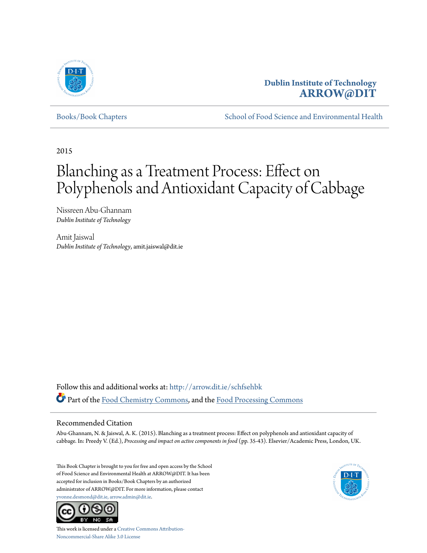

### **Dublin Institute of Technology [ARROW@DIT](http://arrow.dit.ie?utm_source=arrow.dit.ie%2Fschfsehbk%2F2&utm_medium=PDF&utm_campaign=PDFCoverPages)**

[Books/Book Chapters](http://arrow.dit.ie/schfsehbk?utm_source=arrow.dit.ie%2Fschfsehbk%2F2&utm_medium=PDF&utm_campaign=PDFCoverPages) [School of Food Science and Environmental Health](http://arrow.dit.ie/schfseh?utm_source=arrow.dit.ie%2Fschfsehbk%2F2&utm_medium=PDF&utm_campaign=PDFCoverPages)

2015

# Blanching as a Treatment Process: Effect on Polyphenols and Antioxidant Capacity of Cabbage

Nissreen Abu-Ghannam *Dublin Institute of Technology*

Amit Jaiswal *Dublin Institute of Technology*, amit.jaiswal@dit.ie

Follow this and additional works at: [http://arrow.dit.ie/schfsehbk](http://arrow.dit.ie/schfsehbk?utm_source=arrow.dit.ie%2Fschfsehbk%2F2&utm_medium=PDF&utm_campaign=PDFCoverPages) Part of the [Food Chemistry Commons,](http://network.bepress.com/hgg/discipline/87?utm_source=arrow.dit.ie%2Fschfsehbk%2F2&utm_medium=PDF&utm_campaign=PDFCoverPages) and the [Food Processing Commons](http://network.bepress.com/hgg/discipline/85?utm_source=arrow.dit.ie%2Fschfsehbk%2F2&utm_medium=PDF&utm_campaign=PDFCoverPages)

#### Recommended Citation

Abu-Ghannam, N. & Jaiswal, A. K. (2015). Blanching as a treatment process: Effect on polyphenols and antioxidant capacity of cabbage. In: Preedy V. (Ed.), *Processing and impact on active components in food* (pp. 35-43). Elsevier/Academic Press, London, UK.

This Book Chapter is brought to you for free and open access by the School of Food Science and Environmental Health at ARROW@DIT. It has been accepted for inclusion in Books/Book Chapters by an authorized administrator of ARROW@DIT. For more information, please contact [yvonne.desmond@dit.ie, arrow.admin@dit.ie.](mailto:yvonne.desmond@dit.ie,%20arrow.admin@dit.ie)





This work is licensed under a [Creative Commons Attribution-](http://creativecommons.org/licenses/by-nc-sa/3.0/)[Noncommercial-Share Alike 3.0 License](http://creativecommons.org/licenses/by-nc-sa/3.0/)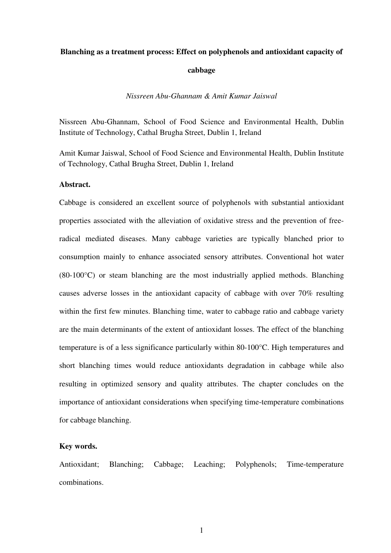#### **Blanching as a treatment process: Effect on polyphenols and antioxidant capacity of**

#### **cabbage**

*Nissreen Abu-Ghannam & Amit Kumar Jaiswal* 

Nissreen Abu-Ghannam, School of Food Science and Environmental Health, Dublin Institute of Technology, Cathal Brugha Street, Dublin 1, Ireland

Amit Kumar Jaiswal, School of Food Science and Environmental Health, Dublin Institute of Technology, Cathal Brugha Street, Dublin 1, Ireland

#### **Abstract.**

Cabbage is considered an excellent source of polyphenols with substantial antioxidant properties associated with the alleviation of oxidative stress and the prevention of freeradical mediated diseases. Many cabbage varieties are typically blanched prior to consumption mainly to enhance associated sensory attributes. Conventional hot water (80-100°C) or steam blanching are the most industrially applied methods. Blanching causes adverse losses in the antioxidant capacity of cabbage with over 70% resulting within the first few minutes. Blanching time, water to cabbage ratio and cabbage variety are the main determinants of the extent of antioxidant losses. The effect of the blanching temperature is of a less significance particularly within 80-100°C. High temperatures and short blanching times would reduce antioxidants degradation in cabbage while also resulting in optimized sensory and quality attributes. The chapter concludes on the importance of antioxidant considerations when specifying time-temperature combinations for cabbage blanching.

#### **Key words.**

Antioxidant; Blanching; Cabbage; Leaching; Polyphenols; Time-temperature combinations.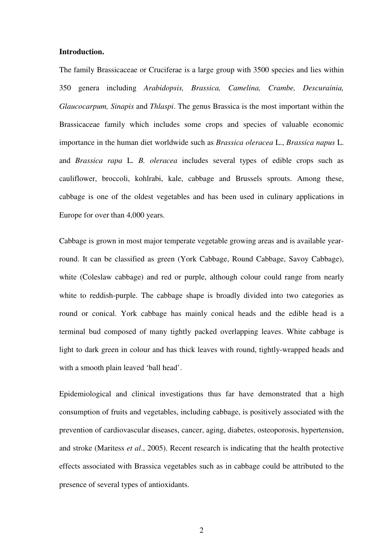#### **Introduction.**

The family Brassicaceae or Cruciferae is a large group with 3500 species and lies within 350 genera including *Arabidopsis, Brassica, Camelina, Crambe, Descurainia, Glaucocarpum, Sinapis* and *Thlaspi*. The genus Brassica is the most important within the Brassicaceae family which includes some crops and species of valuable economic importance in the human diet worldwide such as *Brassica oleracea* L., *Brassica napus* L. and *Brassica rapa* L. *B. oleracea* includes several types of edible crops such as cauliflower, broccoli, kohlrabi, kale, cabbage and Brussels sprouts. Among these, cabbage is one of the oldest vegetables and has been used in culinary applications in Europe for over than 4,000 years.

Cabbage is grown in most major temperate vegetable growing areas and is available yearround. It can be classified as green (York Cabbage, Round Cabbage, Savoy Cabbage), white (Coleslaw cabbage) and red or purple, although colour could range from nearly white to reddish-purple. The cabbage shape is broadly divided into two categories as round or conical. York cabbage has mainly conical heads and the edible head is a terminal bud composed of many tightly packed overlapping leaves. White cabbage is light to dark green in colour and has thick leaves with round, tightly-wrapped heads and with a smooth plain leaved 'ball head'.

Epidemiological and clinical investigations thus far have demonstrated that a high consumption of fruits and vegetables, including cabbage, is positively associated with the prevention of cardiovascular diseases, cancer, aging, diabetes, osteoporosis, hypertension, and stroke (Maritess *et al*., 2005). Recent research is indicating that the health protective effects associated with Brassica vegetables such as in cabbage could be attributed to the presence of several types of antioxidants.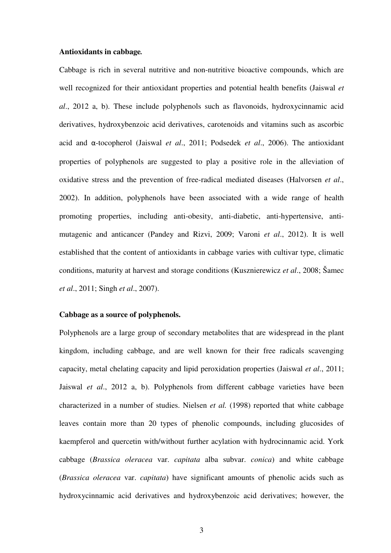#### **Antioxidants in cabbage***.*

Cabbage is rich in several nutritive and non-nutritive bioactive compounds, which are well recognized for their antioxidant properties and potential health benefits (Jaiswal *et al*., 2012 a, b). These include polyphenols such as flavonoids, hydroxycinnamic acid derivatives, hydroxybenzoic acid derivatives, carotenoids and vitamins such as ascorbic acid and α-tocopherol (Jaiswal *et al*., 2011; Podsedek *et al*., 2006). The antioxidant properties of polyphenols are suggested to play a positive role in the alleviation of oxidative stress and the prevention of free-radical mediated diseases (Halvorsen *et al*., 2002). In addition, polyphenols have been associated with a wide range of health promoting properties, including anti-obesity, anti-diabetic, anti-hypertensive, antimutagenic and anticancer (Pandey and Rizvi, 2009; Varoni *et al*., 2012). It is well established that the content of antioxidants in cabbage varies with cultivar type, climatic conditions, maturity at harvest and storage conditions (Kusznierewicz *et al*., 2008; Šamec *et al*., 2011; Singh *et al*., 2007).

#### **Cabbage as a source of polyphenols.**

Polyphenols are a large group of secondary metabolites that are widespread in the plant kingdom, including cabbage, and are well known for their free radicals scavenging capacity, metal chelating capacity and lipid peroxidation properties (Jaiswal *et al*., 2011; Jaiswal *et al*., 2012 a, b). Polyphenols from different cabbage varieties have been characterized in a number of studies. Nielsen *et al.* (1998) reported that white cabbage leaves contain more than 20 types of phenolic compounds, including glucosides of kaempferol and quercetin with/without further acylation with hydrocinnamic acid. York cabbage (*Brassica oleracea* var. *capitata* alba subvar. *conica*) and white cabbage (*Brassica oleracea* var. *capitata*) have significant amounts of phenolic acids such as hydroxycinnamic acid derivatives and hydroxybenzoic acid derivatives; however, the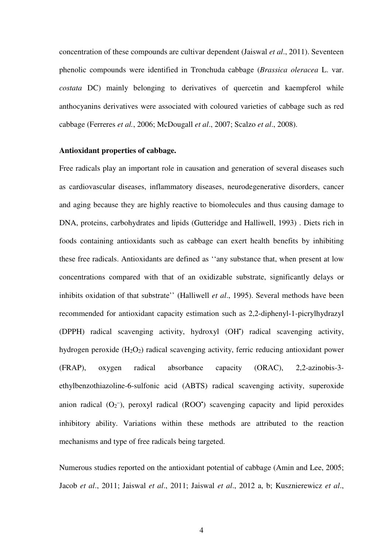concentration of these compounds are cultivar dependent (Jaiswal *et al*., 2011). Seventeen phenolic compounds were identified in Tronchuda cabbage (*Brassica oleracea* L. var. *costata* DC) mainly belonging to derivatives of quercetin and kaempferol while anthocyanins derivatives were associated with coloured varieties of cabbage such as red cabbage (Ferreres *et al.*, 2006; McDougall *et al*., 2007; Scalzo *et al*., 2008).

#### **Antioxidant properties of cabbage.**

Free radicals play an important role in causation and generation of several diseases such as cardiovascular diseases, inflammatory diseases, neurodegenerative disorders, cancer and aging because they are highly reactive to biomolecules and thus causing damage to DNA, proteins, carbohydrates and lipids (Gutteridge and Halliwell, 1993) . Diets rich in foods containing antioxidants such as cabbage can exert health benefits by inhibiting these free radicals. Antioxidants are defined as ''any substance that, when present at low concentrations compared with that of an oxidizable substrate, significantly delays or inhibits oxidation of that substrate'' (Halliwell *et al*., 1995). Several methods have been recommended for antioxidant capacity estimation such as 2,2-diphenyl-1-picrylhydrazyl (DPPH) radical scavenging activity, hydroxyl (OH• ) radical scavenging activity, hydrogen peroxide (H<sub>2</sub>O<sub>2</sub>) radical scavenging activity, ferric reducing antioxidant power (FRAP), oxygen radical absorbance capacity (ORAC), 2,2-azinobis-3 ethylbenzothiazoline-6-sulfonic acid (ABTS) radical scavenging activity, superoxide anion radical  $(O_2^-)$ , peroxyl radical (ROO<sup>\*</sup>) scavenging capacity and lipid peroxides inhibitory ability. Variations within these methods are attributed to the reaction mechanisms and type of free radicals being targeted.

Numerous studies reported on the antioxidant potential of cabbage (Amin and Lee, 2005; Jacob *et al*., 2011; Jaiswal *et al*., 2011; Jaiswal *et al*., 2012 a, b; Kusznierewicz *et al*.,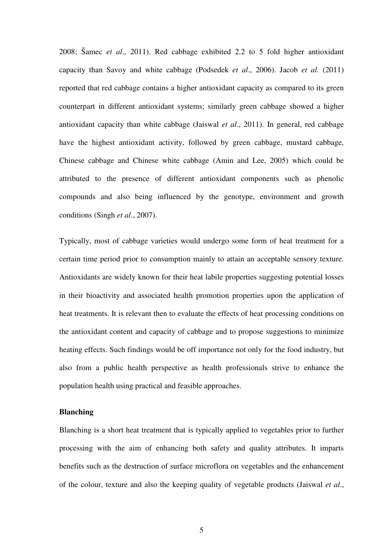2008; Šamec *et al*., 2011). Red cabbage exhibited 2.2 to 5 fold higher antioxidant capacity than Savoy and white cabbage (Podsedek *et al*., 2006). Jacob *et al.* (2011) reported that red cabbage contains a higher antioxidant capacity as compared to its green counterpart in different antioxidant systems; similarly green cabbage showed a higher antioxidant capacity than white cabbage (Jaiswal *et al*., 2011). In general, red cabbage have the highest antioxidant activity, followed by green cabbage, mustard cabbage, Chinese cabbage and Chinese white cabbage (Amin and Lee, 2005) which could be attributed to the presence of different antioxidant components such as phenolic compounds and also being influenced by the genotype, environment and growth conditions (Singh *et al*., 2007).

Typically, most of cabbage varieties would undergo some form of heat treatment for a certain time period prior to consumption mainly to attain an acceptable sensory texture. Antioxidants are widely known for their heat labile properties suggesting potential losses in their bioactivity and associated health promotion properties upon the application of heat treatments. It is relevant then to evaluate the effects of heat processing conditions on the antioxidant content and capacity of cabbage and to propose suggestions to minimize heating effects. Such findings would be off importance not only for the food industry, but also from a public health perspective as health professionals strive to enhance the population health using practical and feasible approaches.

#### **Blanching**

Blanching is a short heat treatment that is typically applied to vegetables prior to further processing with the aim of enhancing both safety and quality attributes. It imparts benefits such as the destruction of surface microflora on vegetables and the enhancement of the colour, texture and also the keeping quality of vegetable products (Jaiswal *et al*.,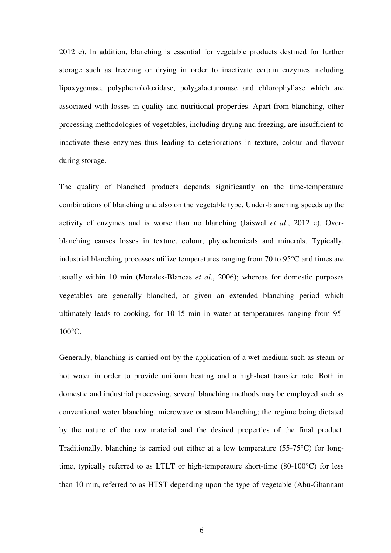2012 c). In addition, blanching is essential for vegetable products destined for further storage such as freezing or drying in order to inactivate certain enzymes including lipoxygenase, polyphenololoxidase, polygalacturonase and chlorophyllase which are associated with losses in quality and nutritional properties. Apart from blanching, other processing methodologies of vegetables, including drying and freezing, are insufficient to inactivate these enzymes thus leading to deteriorations in texture, colour and flavour during storage.

The quality of blanched products depends significantly on the time-temperature combinations of blanching and also on the vegetable type. Under-blanching speeds up the activity of enzymes and is worse than no blanching (Jaiswal *et al*., 2012 c). Overblanching causes losses in texture, colour, phytochemicals and minerals. Typically, industrial blanching processes utilize temperatures ranging from 70 to 95°C and times are usually within 10 min (Morales-Blancas *et al*., 2006); whereas for domestic purposes vegetables are generally blanched, or given an extended blanching period which ultimately leads to cooking, for 10-15 min in water at temperatures ranging from 95- 100°C.

Generally, blanching is carried out by the application of a wet medium such as steam or hot water in order to provide uniform heating and a high-heat transfer rate. Both in domestic and industrial processing, several blanching methods may be employed such as conventional water blanching, microwave or steam blanching; the regime being dictated by the nature of the raw material and the desired properties of the final product. Traditionally, blanching is carried out either at a low temperature (55-75°C) for longtime, typically referred to as LTLT or high-temperature short-time (80-100°C) for less than 10 min, referred to as HTST depending upon the type of vegetable (Abu-Ghannam

6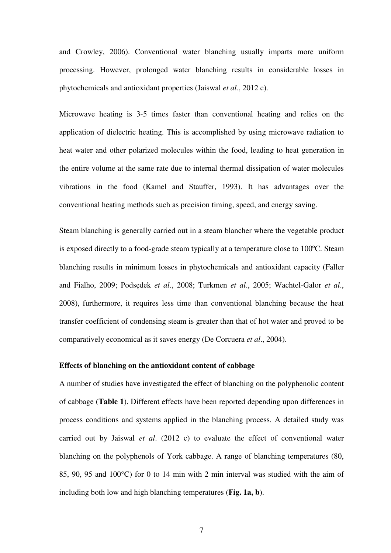and Crowley, 2006). Conventional water blanching usually imparts more uniform processing. However, prolonged water blanching results in considerable losses in phytochemicals and antioxidant properties (Jaiswal *et al*., 2012 c).

Microwave heating is 3-5 times faster than conventional heating and relies on the application of dielectric heating. This is accomplished by using microwave radiation to heat water and other polarized molecules within the food, leading to heat generation in the entire volume at the same rate due to internal thermal dissipation of water molecules vibrations in the food (Kamel and Stauffer, 1993). It has advantages over the conventional heating methods such as precision timing, speed, and energy saving.

Steam blanching is generally carried out in a steam blancher where the vegetable product is exposed directly to a food-grade steam typically at a temperature close to 100ºC. Steam blanching results in minimum losses in phytochemicals and antioxidant capacity (Faller and Fialho, 2009; Podsędek *et al*., 2008; Turkmen *et al*., 2005; Wachtel-Galor *et al*., 2008), furthermore, it requires less time than conventional blanching because the heat transfer coefficient of condensing steam is greater than that of hot water and proved to be comparatively economical as it saves energy (De Corcuera *et al*., 2004).

#### **Effects of blanching on the antioxidant content of cabbage**

A number of studies have investigated the effect of blanching on the polyphenolic content of cabbage (**Table 1**). Different effects have been reported depending upon differences in process conditions and systems applied in the blanching process. A detailed study was carried out by Jaiswal *et al*. (2012 c) to evaluate the effect of conventional water blanching on the polyphenols of York cabbage. A range of blanching temperatures (80, 85, 90, 95 and 100°C) for 0 to 14 min with 2 min interval was studied with the aim of including both low and high blanching temperatures (**Fig. 1a, b**).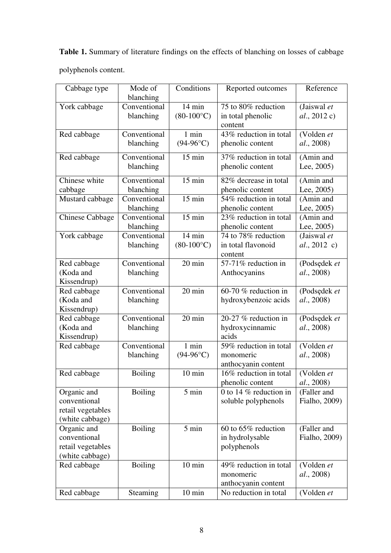**Table 1.** Summary of literature findings on the effects of blanching on losses of cabbage polyphenols content.

| Cabbage type                   | Mode of<br>blanching | Conditions          | Reported outcomes                            | Reference          |
|--------------------------------|----------------------|---------------------|----------------------------------------------|--------------------|
| York cabbage                   | Conventional         | 14 min              | 75 to 80% reduction                          | (Jaiswal et        |
|                                | blanching            | $(80-100\degree C)$ | in total phenolic                            | al., 2012 c)       |
|                                |                      |                     | content                                      |                    |
| Red cabbage                    | Conventional         | $1$ min             | 43% reduction in total                       | (Volden et         |
|                                | blanching            | $(94-96$ °C)        | phenolic content                             | al., 2008)         |
|                                |                      |                     |                                              |                    |
| Red cabbage                    | Conventional         | $15 \text{ min}$    | 37% reduction in total                       | (Amin and          |
|                                | blanching            |                     | phenolic content                             | Lee, 2005)         |
| Chinese white                  | Conventional         | $15 \text{ min}$    | 82% decrease in total                        | (Amin and          |
| cabbage                        | blanching            |                     | phenolic content                             | Lee, $2005$ )      |
| Mustard cabbage                | Conventional         | $15 \text{ min}$    | 54% reduction in total                       | (Amin and          |
|                                | blanching            |                     | phenolic content                             | Lee, 2005)         |
| <b>Chinese Cabbage</b>         | Conventional         | $15$ min            | 23% reduction in total                       | (Amin and          |
|                                | blanching            |                     | phenolic content                             | Lee, 2005)         |
| York cabbage                   | Conventional         | $14 \text{ min}$    | 74 to 78% reduction                          | (Jaiswal et        |
|                                | blanching            | $(80-100\degree C)$ | in total flavonoid                           | $al., 2012$ c)     |
|                                |                      |                     | content                                      |                    |
| Red cabbage                    | Conventional         | 20 min              | 57-71% reduction in                          | (Podsędek et       |
| (Koda and                      | blanching            |                     | Anthocyanins                                 | al., 2008)         |
| Kissendrup)                    |                      |                     |                                              |                    |
| Red cabbage                    | Conventional         | 20 min              | 60-70 % reduction in                         | (Podsędek et       |
| (Koda and                      | blanching            |                     | hydroxybenzoic acids                         | al., 2008)         |
| Kissendrup)                    |                      |                     |                                              |                    |
| Red cabbage                    | Conventional         | 20 min              | 20-27 % reduction in                         | (Podsędek et       |
| (Koda and                      | blanching            |                     | hydroxycinnamic                              | al., 2008)         |
| Kissendrup)                    |                      |                     | acids                                        |                    |
| Red cabbage                    | Conventional         | 1 min               | 59% reduction in total                       | (Volden et         |
|                                | blanching            | $(94-96$ °C)        | monomeric                                    | <i>al.</i> , 2008) |
|                                |                      |                     | anthocyanin content                          |                    |
| Red cabbage                    | <b>Boiling</b>       | $10 \text{ min}$    | 16% reduction in total                       | (Volden et         |
|                                |                      | 5 min               | phenolic content<br>0 to 14 $%$ reduction in | al., 2008)         |
| Organic and<br>conventional    | <b>Boiling</b>       |                     |                                              | (Faller and        |
| retail vegetables              |                      |                     | soluble polyphenols                          | Fialho, 2009)      |
|                                |                      |                     |                                              |                    |
| (white cabbage)<br>Organic and | <b>Boiling</b>       | $5 \text{ min}$     | 60 to 65% reduction                          | (Faller and        |
| conventional                   |                      |                     | in hydrolysable                              | Fialho, 2009)      |
| retail vegetables              |                      |                     | polyphenols                                  |                    |
| (white cabbage)                |                      |                     |                                              |                    |
| Red cabbage                    | <b>Boiling</b>       | $10 \text{ min}$    | 49% reduction in total                       | (Volden et         |
|                                |                      |                     | monomeric                                    | <i>al.</i> , 2008) |
|                                |                      |                     | anthocyanin content                          |                    |
| Red cabbage                    | Steaming             | $10 \text{ min}$    | No reduction in total                        | (Volden et         |
|                                |                      |                     |                                              |                    |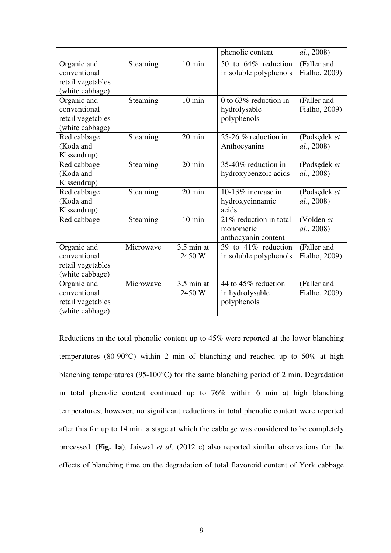|                             |           |                  | phenolic content         | <i>al.</i> , 2008) |
|-----------------------------|-----------|------------------|--------------------------|--------------------|
| Organic and<br>conventional | Steaming  | $10 \text{ min}$ | 50 to 64% reduction      | (Faller and        |
|                             |           |                  | in soluble polyphenols   | Fialho, 2009)      |
| retail vegetables           |           |                  |                          |                    |
| (white cabbage)             |           | $10 \text{ min}$ | 0 to $63\%$ reduction in |                    |
| Organic and                 | Steaming  |                  |                          | (Faller and        |
| conventional                |           |                  | hydrolysable             | Fialho, 2009)      |
| retail vegetables           |           |                  | polyphenols              |                    |
| (white cabbage)             |           |                  |                          |                    |
| Red cabbage                 | Steaming  | 20 min           | 25-26 $%$ reduction in   | (Podsędek et       |
| (Koda and                   |           |                  | Anthocyanins             | <i>al.</i> , 2008) |
| Kissendrup)                 |           |                  |                          |                    |
| Red cabbage                 | Steaming  | 20 min           | 35-40% reduction in      | (Podsędek et       |
| (Koda and                   |           |                  | hydroxybenzoic acids     | al., 2008)         |
| Kissendrup)                 |           |                  |                          |                    |
| Red cabbage                 | Steaming  | $20 \text{ min}$ | 10-13% increase in       | (Podsędek et       |
| (Koda and                   |           |                  | hydroxycinnamic          | al., 2008)         |
| Kissendrup)                 |           |                  | acids                    |                    |
| Red cabbage                 | Steaming  | $10 \text{ min}$ | 21% reduction in total   | (Volden et         |
|                             |           |                  | monomeric                | <i>al.</i> , 2008) |
|                             |           |                  | anthocyanin content      |                    |
| Organic and                 | Microwave | $3.5$ min at     | 39 to 41% reduction      | (Faller and        |
| conventional                |           | 2450 W           | in soluble polyphenols   | Fialho, 2009)      |
| retail vegetables           |           |                  |                          |                    |
| (white cabbage)             |           |                  |                          |                    |
| Organic and                 | Microwave | $3.5$ min at     | 44 to 45% reduction      | (Faller and        |
| conventional                |           | 2450 W           | in hydrolysable          | Fialho, 2009)      |
| retail vegetables           |           |                  | polyphenols              |                    |
| (white cabbage)             |           |                  |                          |                    |

Reductions in the total phenolic content up to 45% were reported at the lower blanching temperatures (80-90°C) within 2 min of blanching and reached up to 50% at high blanching temperatures (95-100°C) for the same blanching period of 2 min. Degradation in total phenolic content continued up to 76% within 6 min at high blanching temperatures; however, no significant reductions in total phenolic content were reported after this for up to 14 min, a stage at which the cabbage was considered to be completely processed. (**Fig. 1a**). Jaiswal *et al*. (2012 c) also reported similar observations for the effects of blanching time on the degradation of total flavonoid content of York cabbage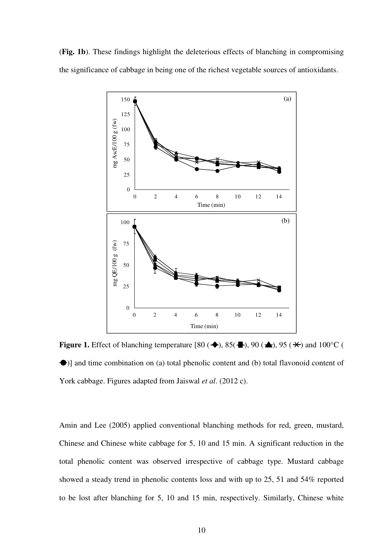(**Fig. 1b**). These findings highlight the deleterious effects of blanching in compromising the significance of cabbage in being one of the richest vegetable sources of antioxidants.



**Figure 1.** Effect of blanching temperature  $[80 (\triangleleft), 85 (\triangleleft), 90 (\triangleleft), 95 (\triangleleft))$  and  $100^{\circ}$ C ( )] and time combination on (a) total phenolic content and (b) total flavonoid content of York cabbage. Figures adapted from Jaiswal *et al*. (2012 c).

Amin and Lee (2005) applied conventional blanching methods for red, green, mustard, Chinese and Chinese white cabbage for 5, 10 and 15 min. A significant reduction in the total phenolic content was observed irrespective of cabbage type. Mustard cabbage showed a steady trend in phenolic contents loss and with up to 25, 51 and 54% reported to be lost after blanching for 5, 10 and 15 min, respectively. Similarly, Chinese white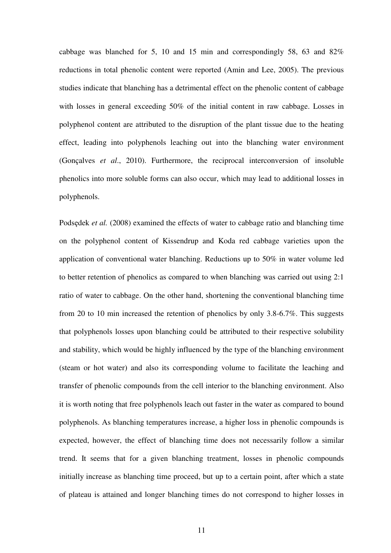cabbage was blanched for 5, 10 and 15 min and correspondingly 58, 63 and 82% reductions in total phenolic content were reported (Amin and Lee, 2005). The previous studies indicate that blanching has a detrimental effect on the phenolic content of cabbage with losses in general exceeding 50% of the initial content in raw cabbage. Losses in polyphenol content are attributed to the disruption of the plant tissue due to the heating effect, leading into polyphenols leaching out into the blanching water environment (Gonçalves *et al*., 2010). Furthermore, the reciprocal interconversion of insoluble phenolics into more soluble forms can also occur, which may lead to additional losses in polyphenols.

Podsędek *et al.* (2008) examined the effects of water to cabbage ratio and blanching time on the polyphenol content of Kissendrup and Koda red cabbage varieties upon the application of conventional water blanching. Reductions up to 50% in water volume led to better retention of phenolics as compared to when blanching was carried out using 2:1 ratio of water to cabbage. On the other hand, shortening the conventional blanching time from 20 to 10 min increased the retention of phenolics by only 3.8-6.7%. This suggests that polyphenols losses upon blanching could be attributed to their respective solubility and stability, which would be highly influenced by the type of the blanching environment (steam or hot water) and also its corresponding volume to facilitate the leaching and transfer of phenolic compounds from the cell interior to the blanching environment. Also it is worth noting that free polyphenols leach out faster in the water as compared to bound polyphenols. As blanching temperatures increase, a higher loss in phenolic compounds is expected, however, the effect of blanching time does not necessarily follow a similar trend. It seems that for a given blanching treatment, losses in phenolic compounds initially increase as blanching time proceed, but up to a certain point, after which a state of plateau is attained and longer blanching times do not correspond to higher losses in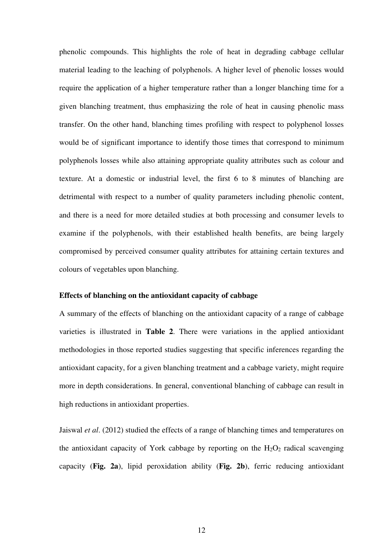phenolic compounds. This highlights the role of heat in degrading cabbage cellular material leading to the leaching of polyphenols. A higher level of phenolic losses would require the application of a higher temperature rather than a longer blanching time for a given blanching treatment, thus emphasizing the role of heat in causing phenolic mass transfer. On the other hand, blanching times profiling with respect to polyphenol losses would be of significant importance to identify those times that correspond to minimum polyphenols losses while also attaining appropriate quality attributes such as colour and texture. At a domestic or industrial level, the first 6 to 8 minutes of blanching are detrimental with respect to a number of quality parameters including phenolic content, and there is a need for more detailed studies at both processing and consumer levels to examine if the polyphenols, with their established health benefits, are being largely compromised by perceived consumer quality attributes for attaining certain textures and colours of vegetables upon blanching.

#### **Effects of blanching on the antioxidant capacity of cabbage**

A summary of the effects of blanching on the antioxidant capacity of a range of cabbage varieties is illustrated in **Table 2**. There were variations in the applied antioxidant methodologies in those reported studies suggesting that specific inferences regarding the antioxidant capacity, for a given blanching treatment and a cabbage variety, might require more in depth considerations. In general, conventional blanching of cabbage can result in high reductions in antioxidant properties.

Jaiswal *et al*. (2012) studied the effects of a range of blanching times and temperatures on the antioxidant capacity of York cabbage by reporting on the  $H_2O_2$  radical scavenging capacity (**Fig. 2a**), lipid peroxidation ability (**Fig. 2b**), ferric reducing antioxidant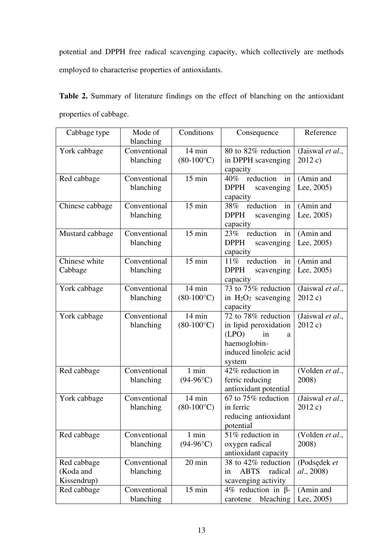potential and DPPH free radical scavenging capacity, which collectively are methods employed to characterise properties of antioxidants.

|                        |  |  |  |  |  | <b>Table 2.</b> Summary of literature findings on the effect of blanching on the antioxidant |
|------------------------|--|--|--|--|--|----------------------------------------------------------------------------------------------|
| properties of cabbage. |  |  |  |  |  |                                                                                              |

| Cabbage type    | Mode of      | Conditions          | Consequence                                  | Reference        |
|-----------------|--------------|---------------------|----------------------------------------------|------------------|
|                 | blanching    |                     |                                              |                  |
| York cabbage    | Conventional | $14 \text{ min}$    | 80 to 82% reduction                          | (Jaiswal et al., |
|                 | blanching    | $(80-100\degree C)$ | in DPPH scavenging                           | 2012 c)          |
| Red cabbage     | Conventional | $15 \text{ min}$    | capacity<br>reduction in<br>$40\%$           | (Amin and        |
|                 | blanching    |                     | <b>DPPH</b><br>scavenging                    | Lee, $2005$ )    |
|                 |              |                     | capacity                                     |                  |
| Chinese cabbage | Conventional | $15 \text{ min}$    | 38% reduction in                             | (Amin and        |
|                 | blanching    |                     | <b>DPPH</b><br>scavenging                    | Lee, $2005$ )    |
|                 |              |                     | capacity                                     |                  |
| Mustard cabbage | Conventional | $15 \text{ min}$    | 23% reduction in                             | (Amin and        |
|                 | blanching    |                     | <b>DPPH</b><br>scavenging                    | Lee, $2005$ )    |
|                 |              |                     | capacity                                     |                  |
| Chinese white   | Conventional | $15 \text{ min}$    | 11% reduction in                             | (Amin and        |
| Cabbage         | blanching    |                     | <b>DPPH</b><br>scavenging                    | Lee, $2005$ )    |
|                 |              |                     | capacity                                     |                  |
| York cabbage    | Conventional | $14 \text{ min}$    | 73 to 75% reduction                          | (Jaiswal et al., |
|                 | blanching    | $(80-100\degree C)$ | in $H_2O_2$ scavenging                       | 2012 c)          |
|                 |              |                     | capacity                                     |                  |
| York cabbage    | Conventional | $14 \text{ min}$    | 72 to 78% reduction                          | (Jaiswal et al., |
|                 | blanching    | $(80-100\degree C)$ | in lipid peroxidation                        | 2012 c)          |
|                 |              |                     | (LPO)<br>in<br>a                             |                  |
|                 |              |                     | haemoglobin-                                 |                  |
|                 |              |                     | induced linoleic acid                        |                  |
|                 |              |                     | system<br>42% reduction in                   |                  |
| Red cabbage     | Conventional | 1 min               |                                              | (Volden et al.,  |
|                 | blanching    | $(94-96^{\circ}C)$  | ferric reducing                              | 2008)            |
| York cabbage    | Conventional | $14 \text{ min}$    | antioxidant potential<br>67 to 75% reduction | (Jaiswal et al., |
|                 | blanching    | $(80-100\degree C)$ | in ferric                                    | 2012 c)          |
|                 |              |                     | reducing antioxidant                         |                  |
|                 |              |                     | potential                                    |                  |
| Red cabbage     | Conventional | 1 min               | 51% reduction in                             | (Volden et al.,  |
|                 | blanching    | $(94-96$ °C)        | oxygen radical                               | 2008)            |
|                 |              |                     | antioxidant capacity                         |                  |
| Red cabbage     | Conventional | 20 min              | 38 to 42% reduction                          | (Podsędek et     |
| (Koda and       | blanching    |                     | radical<br><b>ABTS</b><br>in                 | al., 2008)       |
| Kissendrup)     |              |                     | scavenging activity                          |                  |
| Red cabbage     | Conventional | $15 \text{ min}$    | 4% reduction in $\beta$ -                    | (Amin and        |
|                 | blanching    |                     | bleaching<br>carotene                        | Lee, 2005)       |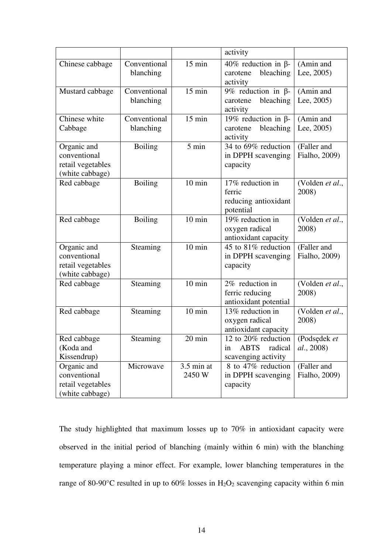|                                                                     |                           |                        | activity                                                                   |                                    |
|---------------------------------------------------------------------|---------------------------|------------------------|----------------------------------------------------------------------------|------------------------------------|
| Chinese cabbage                                                     | Conventional<br>blanching | $15 \text{ min}$       | 40% reduction in $\beta$ -<br>bleaching<br>carotene<br>activity            | (Amin and<br>Lee, $2005$ )         |
| Mustard cabbage                                                     | Conventional<br>blanching | $15 \text{ min}$       | 9% reduction in $\beta$ -<br>bleaching<br>carotene<br>activity             | (Amin and<br>Lee, $2005$ )         |
| Chinese white<br>Cabbage                                            | Conventional<br>blanching | $15 \text{ min}$       | 19% reduction in $\beta$ -<br>bleaching<br>carotene<br>activity            | (Amin and<br>Lee, $2005$ )         |
| Organic and<br>conventional<br>retail vegetables<br>(white cabbage) | <b>Boiling</b>            | 5 min                  | 34 to 69% reduction<br>in DPPH scavenging<br>capacity                      | (Faller and<br>Fialho, 2009)       |
| Red cabbage                                                         | <b>Boiling</b>            | $10 \text{ min}$       | 17% reduction in<br>ferric<br>reducing antioxidant<br>potential            | (Volden et al.,<br>2008)           |
| Red cabbage                                                         | <b>Boiling</b>            | $10 \text{ min}$       | 19% reduction in<br>oxygen radical<br>antioxidant capacity                 | (Volden et al.,<br>2008)           |
| Organic and<br>conventional<br>retail vegetables<br>(white cabbage) | Steaming                  | $10 \text{ min}$       | 45 to 81% reduction<br>in DPPH scavenging<br>capacity                      | (Faller and<br>Fialho, 2009)       |
| Red cabbage                                                         | Steaming                  | $10 \text{ min}$       | 2% reduction in<br>ferric reducing<br>antioxidant potential                | (Volden et al.,<br>2008)           |
| Red cabbage                                                         | Steaming                  | $10 \text{ min}$       | 13% reduction in<br>oxygen radical<br>antioxidant capacity                 | (Volden et al.,<br>2008)           |
| Red cabbage<br>(Koda and<br>Kissendrup)                             | Steaming                  | $20 \text{ min}$       | 12 to 20% reduction<br><b>ABTS</b><br>radical<br>in<br>scavenging activity | (Podsędek et<br><i>al.</i> , 2008) |
| Organic and<br>conventional<br>retail vegetables<br>(white cabbage) | Microwave                 | $3.5$ min at<br>2450 W | 8 to 47% reduction<br>in DPPH scavenging<br>capacity                       | (Faller and<br>Fialho, 2009)       |

The study highlighted that maximum losses up to 70% in antioxidant capacity were observed in the initial period of blanching (mainly within 6 min) with the blanching temperature playing a minor effect. For example, lower blanching temperatures in the range of 80-90°C resulted in up to 60% losses in  $H_2O_2$  scavenging capacity within 6 min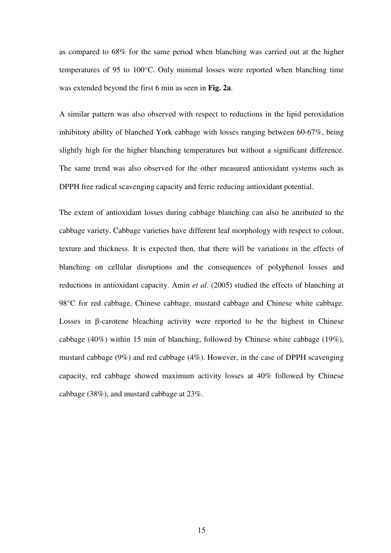as compared to 68% for the same period when blanching was carried out at the higher temperatures of 95 to 100°C. Only minimal losses were reported when blanching time was extended beyond the first 6 min as seen in **Fig. 2a**.

A similar pattern was also observed with respect to reductions in the lipid peroxidation inhibitory ability of blanched York cabbage with losses ranging between 60-67%, being slightly high for the higher blanching temperatures but without a significant difference. The same trend was also observed for the other measured antioxidant systems such as DPPH free radical scavenging capacity and ferric reducing antioxidant potential.

The extent of antioxidant losses during cabbage blanching can also be attributed to the cabbage variety. Cabbage varieties have different leaf morphology with respect to colour, texture and thickness. It is expected then, that there will be variations in the effects of blanching on cellular disruptions and the consequences of polyphenol losses and reductions in antioxidant capacity. Amin *et al*. (2005) studied the effects of blanching at 98°C for red cabbage, Chinese cabbage, mustard cabbage and Chinese white cabbage. Losses in β-carotene bleaching activity were reported to be the highest in Chinese cabbage (40%) within 15 min of blanching, followed by Chinese white cabbage (19%), mustard cabbage (9%) and red cabbage (4%). However, in the case of DPPH scavenging capacity, red cabbage showed maximum activity losses at 40% followed by Chinese cabbage (38%), and mustard cabbage at 23%.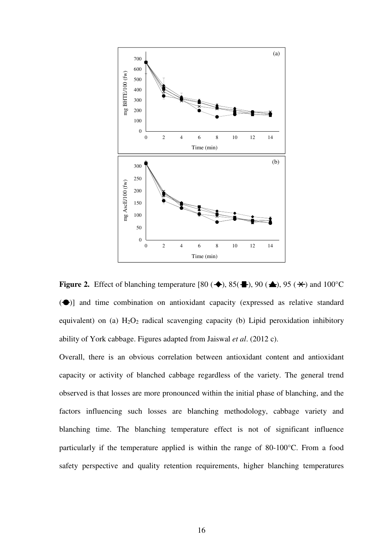

**Figure 2.** Effect of blanching temperature [80 ( $\blacklozenge$ ), 85( $\blacktriangle$ ), 90 ( $\blacktriangle$ ), 95 ( $\blacktriangle$ ) and 100°C  $(\bigodot)$ ] and time combination on antioxidant capacity (expressed as relative standard equivalent) on (a)  $H_2O_2$  radical scavenging capacity (b) Lipid peroxidation inhibitory ability of York cabbage. Figures adapted from Jaiswal *et al*. (2012 c).

Overall, there is an obvious correlation between antioxidant content and antioxidant capacity or activity of blanched cabbage regardless of the variety. The general trend observed is that losses are more pronounced within the initial phase of blanching, and the factors influencing such losses are blanching methodology, cabbage variety and blanching time. The blanching temperature effect is not of significant influence particularly if the temperature applied is within the range of 80-100°C. From a food safety perspective and quality retention requirements, higher blanching temperatures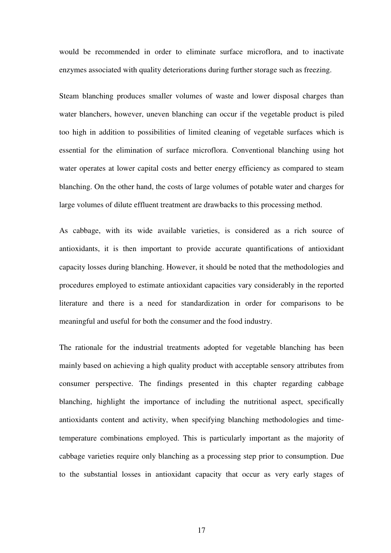would be recommended in order to eliminate surface microflora, and to inactivate enzymes associated with quality deteriorations during further storage such as freezing.

Steam blanching produces smaller volumes of waste and lower disposal charges than water blanchers, however, uneven blanching can occur if the vegetable product is piled too high in addition to possibilities of limited cleaning of vegetable surfaces which is essential for the elimination of surface microflora. Conventional blanching using hot water operates at lower capital costs and better energy efficiency as compared to steam blanching. On the other hand, the costs of large volumes of potable water and charges for large volumes of dilute effluent treatment are drawbacks to this processing method.

As cabbage, with its wide available varieties, is considered as a rich source of antioxidants, it is then important to provide accurate quantifications of antioxidant capacity losses during blanching. However, it should be noted that the methodologies and procedures employed to estimate antioxidant capacities vary considerably in the reported literature and there is a need for standardization in order for comparisons to be meaningful and useful for both the consumer and the food industry.

The rationale for the industrial treatments adopted for vegetable blanching has been mainly based on achieving a high quality product with acceptable sensory attributes from consumer perspective. The findings presented in this chapter regarding cabbage blanching, highlight the importance of including the nutritional aspect, specifically antioxidants content and activity, when specifying blanching methodologies and timetemperature combinations employed. This is particularly important as the majority of cabbage varieties require only blanching as a processing step prior to consumption. Due to the substantial losses in antioxidant capacity that occur as very early stages of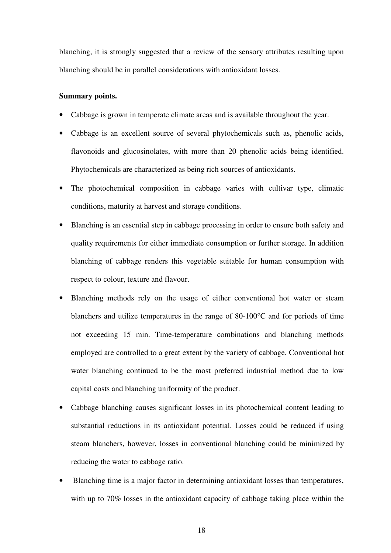blanching, it is strongly suggested that a review of the sensory attributes resulting upon blanching should be in parallel considerations with antioxidant losses.

#### **Summary points.**

- Cabbage is grown in temperate climate areas and is available throughout the year.
- Cabbage is an excellent source of several phytochemicals such as, phenolic acids, flavonoids and glucosinolates, with more than 20 phenolic acids being identified. Phytochemicals are characterized as being rich sources of antioxidants.
- The photochemical composition in cabbage varies with cultivar type, climatic conditions, maturity at harvest and storage conditions.
- Blanching is an essential step in cabbage processing in order to ensure both safety and quality requirements for either immediate consumption or further storage. In addition blanching of cabbage renders this vegetable suitable for human consumption with respect to colour, texture and flavour.
- Blanching methods rely on the usage of either conventional hot water or steam blanchers and utilize temperatures in the range of 80-100°C and for periods of time not exceeding 15 min. Time-temperature combinations and blanching methods employed are controlled to a great extent by the variety of cabbage. Conventional hot water blanching continued to be the most preferred industrial method due to low capital costs and blanching uniformity of the product.
- Cabbage blanching causes significant losses in its photochemical content leading to substantial reductions in its antioxidant potential. Losses could be reduced if using steam blanchers, however, losses in conventional blanching could be minimized by reducing the water to cabbage ratio.
- Blanching time is a major factor in determining antioxidant losses than temperatures, with up to 70% losses in the antioxidant capacity of cabbage taking place within the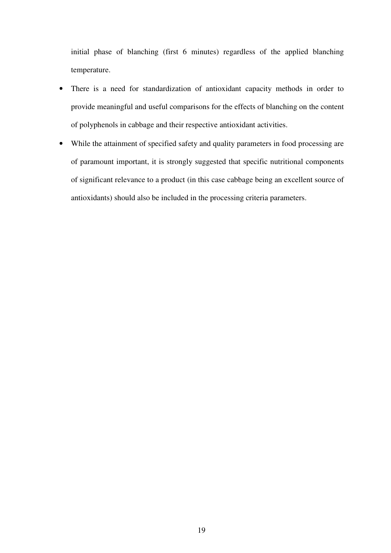initial phase of blanching (first 6 minutes) regardless of the applied blanching temperature.

- There is a need for standardization of antioxidant capacity methods in order to provide meaningful and useful comparisons for the effects of blanching on the content of polyphenols in cabbage and their respective antioxidant activities.
- While the attainment of specified safety and quality parameters in food processing are of paramount important, it is strongly suggested that specific nutritional components of significant relevance to a product (in this case cabbage being an excellent source of antioxidants) should also be included in the processing criteria parameters.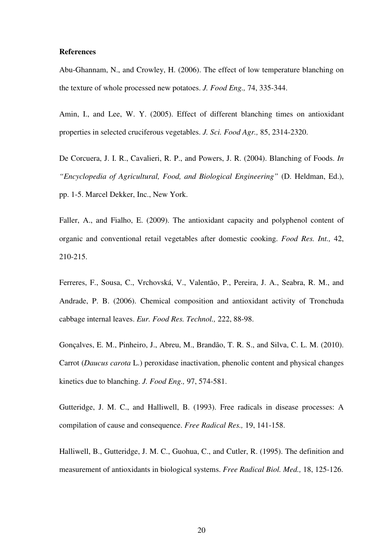#### **References**

Abu-Ghannam, N., and Crowley, H. (2006). The effect of low temperature blanching on the texture of whole processed new potatoes. *J. Food Eng.,* 74, 335-344.

Amin, I., and Lee, W. Y. (2005). Effect of different blanching times on antioxidant properties in selected cruciferous vegetables. *J. Sci. Food Agr.,* 85, 2314-2320.

De Corcuera, J. I. R., Cavalieri, R. P., and Powers, J. R. (2004). Blanching of Foods. *In "Encyclopedia of Agricultural, Food, and Biological Engineering"* (D. Heldman, Ed.), pp. 1-5. Marcel Dekker, Inc., New York.

Faller, A., and Fialho, E. (2009). The antioxidant capacity and polyphenol content of organic and conventional retail vegetables after domestic cooking. *Food Res. Int.,* 42, 210-215.

Ferreres, F., Sousa, C., Vrchovská, V., Valentão, P., Pereira, J. A., Seabra, R. M., and Andrade, P. B. (2006). Chemical composition and antioxidant activity of Tronchuda cabbage internal leaves. *Eur. Food Res. Technol.,* 222, 88-98.

Gonçalves, E. M., Pinheiro, J., Abreu, M., Brandão, T. R. S., and Silva, C. L. M. (2010). Carrot (*Daucus carota* L.) peroxidase inactivation, phenolic content and physical changes kinetics due to blanching. *J. Food Eng.,* 97, 574-581.

Gutteridge, J. M. C., and Halliwell, B. (1993). Free radicals in disease processes: A compilation of cause and consequence. *Free Radical Res.,* 19, 141-158.

Halliwell, B., Gutteridge, J. M. C., Guohua, C., and Cutler, R. (1995). The definition and measurement of antioxidants in biological systems. *Free Radical Biol. Med.,* 18, 125-126.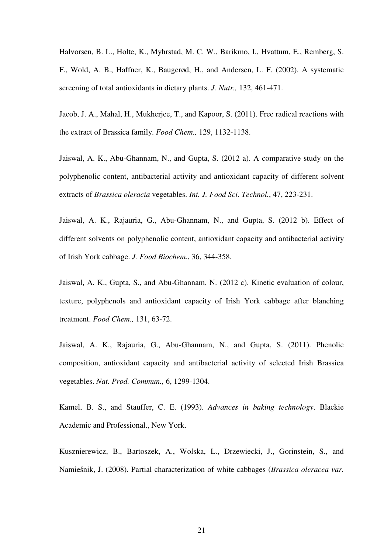Halvorsen, B. L., Holte, K., Myhrstad, M. C. W., Barikmo, I., Hvattum, E., Remberg, S. F., Wold, A. B., Haffner, K., Baugerød, H., and Andersen, L. F. (2002). A systematic screening of total antioxidants in dietary plants. *J. Nutr.,* 132, 461-471.

Jacob, J. A., Mahal, H., Mukherjee, T., and Kapoor, S. (2011). Free radical reactions with the extract of Brassica family. *Food Chem.,* 129, 1132-1138.

Jaiswal, A. K., Abu-Ghannam, N., and Gupta, S. (2012 a). A comparative study on the polyphenolic content, antibacterial activity and antioxidant capacity of different solvent extracts of *Brassica oleracia* vegetables. *Int. J. Food Sci. Technol.*, 47, 223-231.

Jaiswal, A. K., Rajauria, G., Abu-Ghannam, N., and Gupta, S. (2012 b). Effect of different solvents on polyphenolic content, antioxidant capacity and antibacterial activity of Irish York cabbage. *J. Food Biochem.*, 36, 344-358.

Jaiswal, A. K., Gupta, S., and Abu-Ghannam, N. (2012 c). Kinetic evaluation of colour, texture, polyphenols and antioxidant capacity of Irish York cabbage after blanching treatment. *Food Chem.,* 131, 63-72.

Jaiswal, A. K., Rajauria, G., Abu-Ghannam, N., and Gupta, S. (2011). Phenolic composition, antioxidant capacity and antibacterial activity of selected Irish Brassica vegetables. *Nat. Prod. Commun.,* 6, 1299-1304.

Kamel, B. S., and Stauffer, C. E. (1993). *Advances in baking technology*. Blackie Academic and Professional., New York.

Kusznierewicz, B., Bartoszek, A., Wolska, L., Drzewiecki, J., Gorinstein, S., and Namieśnik, J. (2008). Partial characterization of white cabbages (*Brassica oleracea var.*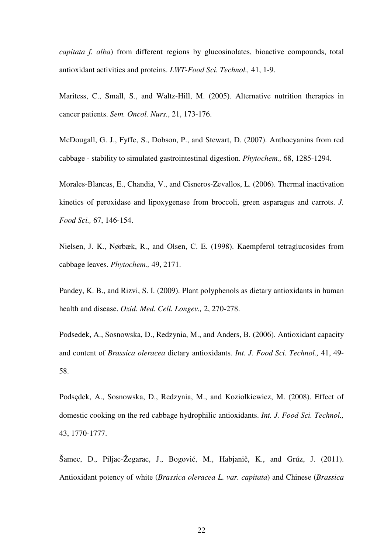*capitata f. alba*) from different regions by glucosinolates, bioactive compounds, total antioxidant activities and proteins. *LWT-Food Sci. Technol.,* 41, 1-9.

Maritess, C., Small, S., and Waltz-Hill, M. (2005). Alternative nutrition therapies in cancer patients. *Sem. Oncol. Nurs.*, 21, 173-176.

McDougall, G. J., Fyffe, S., Dobson, P., and Stewart, D. (2007). Anthocyanins from red cabbage - stability to simulated gastrointestinal digestion. *Phytochem.,* 68, 1285-1294.

Morales-Blancas, E., Chandia, V., and Cisneros-Zevallos, L. (2006). Thermal inactivation kinetics of peroxidase and lipoxygenase from broccoli, green asparagus and carrots. *J. Food Sci.,* 67, 146-154.

Nielsen, J. K., Nørbæk, R., and Olsen, C. E. (1998). Kaempferol tetraglucosides from cabbage leaves. *Phytochem.,* 49, 2171.

Pandey, K. B., and Rizvi, S. I. (2009). Plant polyphenols as dietary antioxidants in human health and disease. *Oxid. Med. Cell. Longev.,* 2, 270-278.

Podsedek, A., Sosnowska, D., Redzynia, M., and Anders, B. (2006). Antioxidant capacity and content of *Brassica oleracea* dietary antioxidants. *Int. J. Food Sci. Technol.,* 41, 49- 58.

Podsędek, A., Sosnowska, D., Redzynia, M., and Koziołkiewicz, M. (2008). Effect of domestic cooking on the red cabbage hydrophilic antioxidants. *Int. J. Food Sci. Technol.,*  43, 1770-1777.

Šamec, D., Piljac-Žegarac, J., Bogović, M., Habjanič, K., and Grúz, J. (2011). Antioxidant potency of white (*Brassica oleracea L. var. capitata*) and Chinese (*Brassica*